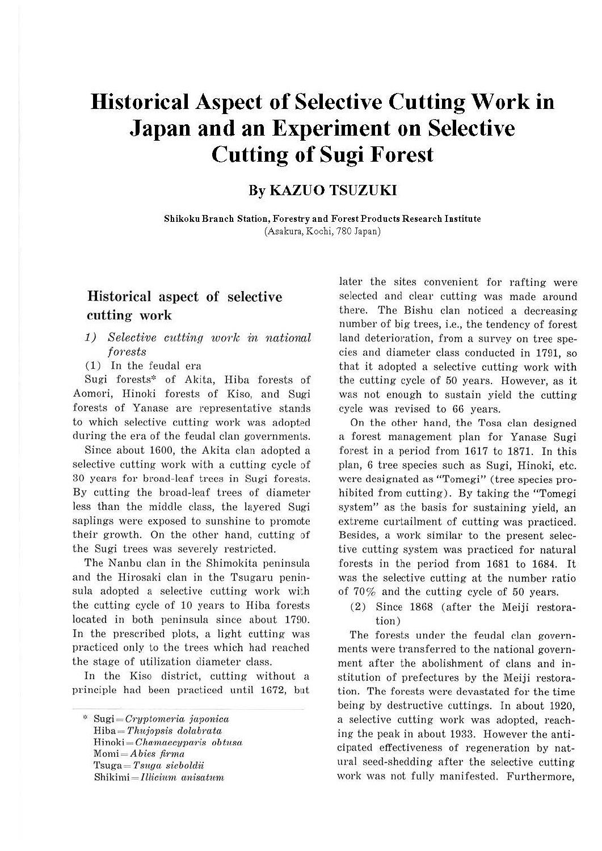# **Historical Aspect of Selective Cutting Work in Japan and an Experiment on Selective Cutting of Sugi Forest**

## **By KAZUO TSUZUKI**

**Shikoku Branch Station, Forestry and Forest Products Research Institute**  (Asakura, Kochi, 780 Japan)

## Historical aspect of selective cutting work

#### *1) Selective cutting work in national fores ts*

( 1) In the feudal era

Sugi forests\* of Akita, Hiba forests of Aomori, Hinoki forests of Kiso, and Sugi forests of Yanase are representative stands to which selective cutting work was adopted during the era of the feudal clan governments.

Since about 1600, the Akita clan adopted a selective cutting work with a cutting cycle of 30 years for broad-leaf trees in Sugi forests. By cutting the broad-leaf trees of diameter less than the middle class, the layered Sugi saplings were exposed to sunshine to promote their growth. On the other hand, cutting of the Sugi trees was severely restricted.

The Nanbu clan in the Shimokita peninsula and the Hirosaki clan in the Tsugaru peninsula adopted a selective cutting work with the cutting cycle of 10 years to Hiba forests located in both peninsula since about 1790. In the prescribed plots, a light cutting was practiced only to the trees which had reached the stage of utilization diameter class.

In the Kiso district, cutting without a principle had been practiced until 1672, but later the sites convenient for rafting were selected and clear cutting was made around there. The Bishu clan noticed a decreasing number of big trees, i.e., the tendency of forest land deterioration, from a survey on tree species and diameter class conducted in 1791, so that it adopted a selective cutting work with the cutting cycle of 50 years. However, as it was not enough to sustain yield the cutting cycle was revised to 66 years.

On the other hand, the Tosa clan designed a forest management plan for Yanase Sugi forest in a period from 1617 to 1871. In this plan, 6 tree species such as Sugi, Hinoki, etc. were designated as "Tomegi" (tree species prohibited from cutting). By taking the "Tomegi system" as the basis for sustaining yield, an extreme curtailment of cutting was practiced. Besides, a work similar to the present selective cutting system was practiced for natural forests in the period from 1681 to 1684. It was the selective cutting at the number ratio of 70% and the cutting cycle of 50 years.

(2) Since 1868 (after the Meiji restoration)

The forests under the feudal clan governments were transferred to the national government after the abolishment of clans and institution of prefectures by the Meiji restoration. The forests were devastated for the time being by destructive cuttings. In about 1920, a selective cutting work was adopted, reaching the peak in about 1933. However the anticipated effectiveness of regeneration by natural seed-shedding after the selective cutting work was not fully manifested. Furthermore,

<sup>\*</sup> Sugi = *Cry7>tome1-ia jci7>onica*  Hiba = *Thujovsis clolabrata*   $Hinoki = Chamaecyparis obtusa$ *Momi= Abies firma*  Tsuga = *Tsugci siebolclii*   $Shikimi = Illicium anisatum$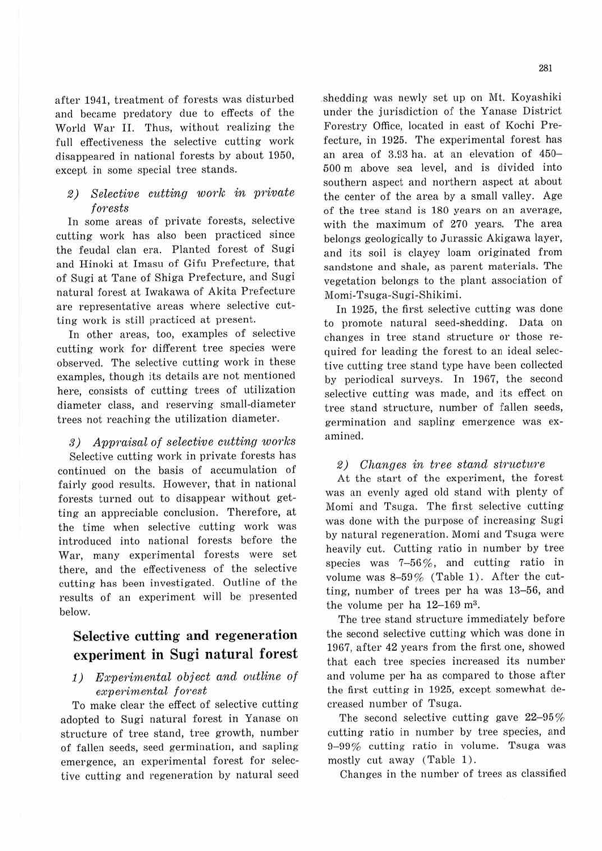after 1941, treatment of forests was disturbed and became predatory due to effects of the World War II. Thus, without realizing the full effectiveness the selective cutting work disappeared in national forests by about 1950, except in some special tree stands.

#### $2)$  Selective cutting work in private forests

In some areas of private forests, selective cutting work has also been practiced since the feudal clan era. Planted forest of Sugi and Hinoki at Imasu of Gifu Prefecture, that of Sugi at Tane of Shiga Prefecture, and Sugi natural forest at Iwakawa of Akita Prefecture are representative areas where selective cutting work is still practiced at present.

In other areas, too, examples of selective cutting work for different tree species were observed. The selective cutting work in these examples, though its details are not mentioned here, consists of cutting trees of utilization diameter class, and reserving small-diameter trees not reaching the utilization diameter.

3) Appraisal of selective cutting works Selective cutting work in private forests has continued on the basis of accumulation of fairly good results. However, that in national forests turned out to disappear without getting an appreciable conclusion. Therefore, at the time when selective cutting work was introduced into national forests before the War, many experimental forests were set there, and the effectiveness of the selective cutting has been investigated. Outline of the results of an experiment will be presented below.

## **Selective cutting and regeneration experiment in Sugi natural forest**

#### 1) Experimental object and outline of experimental forest

To make clear the effect of selective cutting adopted to Sugi natural forest in Yanase on structure of tree stand, tree growth, number of falleu seeds, seed germination, and sapling emergence, an experimental forest for selective cutting and regeneration by natural seed shedding was newly set up on Mt. Koyashiki under the jurisdiction of the Yanase District Forestry Office, located in east of Kochi Prefecture, in 1925. The experimental forest has an area of 3.93 ha. at an elevation of 450- 500 m above sea level, and is divided into southern aspect and northern aspect at about the center of the area by a small valley. Age of the tree stand is 180 years on an average, with the maximum of 270 years. The area belongs geologically to Jurassic Akigawa layer, and its soil is clayey loam originated from sandstone and shale, as parent materials. The vegetation belongs to the plant association of Momi-Tsuga-Sugi-Shikimi.

In 1925, the first selective cutting was done to promote natural seed-shedding. Data on changes in tree stand structure or those required for leading the forest to an ideal selective cutting tree stand type have been collected by periodical surveys. In 1967, the second selective. cutting was made, and its effect on tree stand structure, number of fallen seeds, germination and sapling emergence was examined.

#### 2) Changes in tree stand structure

At the start of the experiment, the forest was an evenly aged old stand with plenty of Momi and Tsuga. The first selective cutting was done with the purpose of increasing Sugi by natural regeneration. Momi and Tsuga were heavily cut. Cutting ratio in number by tree species was 7-56%, and cutting ratio in volume was 8-59% (Table 1). After the cutting, number of trees per ha was 13-56, and the volume per ha  $12-169$  m<sup>3</sup>.

The tree stand structure immediately before the second selective cutting which was done in 1967, after 42 years from the first one, showed that each tree species increased its number and volume per ha as compared to those after the first cutting in 1925, except somewhat decreased number of Tsuga.

The second selective cutting gave  $22-95%$ cutting ratio in number by tree species, and 9-99 % cutting ratio in volume. Tsuga was mostly cut away (Table 1).

Changes in the number of trees as classified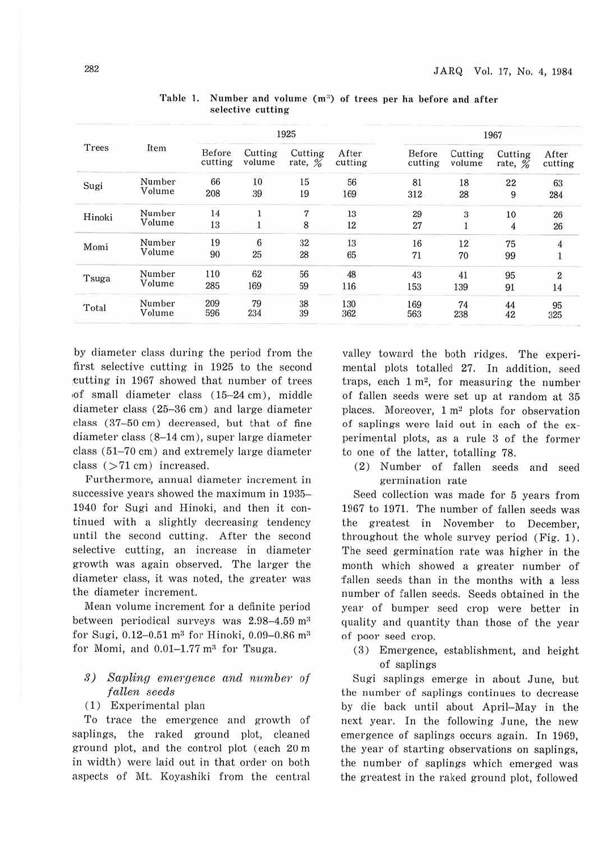| Trees  | Item             |                   | 1925              |                    |                  | 1967              |                   |                      |                  |
|--------|------------------|-------------------|-------------------|--------------------|------------------|-------------------|-------------------|----------------------|------------------|
|        |                  | Before<br>cutting | Cutting<br>volume | Cutting<br>rate, % | After<br>cutting | Before<br>cutting | Cutting<br>volume | Cutting<br>rate, $%$ | After<br>cutting |
| Sugi   | Number<br>Volume | 66                | 10                | 15                 | 56               | 81                | 18                | 22                   | 63               |
|        |                  | 208               | 39                | 19                 | 169              | 312               | 28                | 9                    | 284              |
| Hinoki | Number<br>Volume | 14                |                   | $\overline{7}$     | 13               | 29                |                   | 10                   | 26               |
|        |                  | 13                |                   | 8                  | 12               | 27                | $\frac{3}{1}$     | 4                    | $26\,$           |
| Momi   | Number<br>Volume | 19                | 6                 | 32                 | 13               | 16                | 12                | 75                   | $\overline{4}$   |
|        |                  | 90                | 25                | 28                 | 65               | 71                | 70                | 99                   | $\mathbf{1}$     |
| Tsuga  | Number<br>Volume | 110               | 62                | 56                 | 48               | 43                | 41                | 95                   | $\overline{2}$   |
|        |                  | 285               | 169               | 59                 | 116              | 153               | 139               | 91                   | 14               |
| Total  | Number           | 209               | 79                | 38                 | 130              | 169               | 74                | 44                   | 95               |
|        | Volume           | 596               | 234               | 39                 | 362              | 563               | 238               | 42                   | 325              |

Table 1. Number and volume (m<sup>3</sup>) of trees per ha before and after selective cutting

by diameter class during the period from the first selective cutting in 1925 to the second eutting in 1967 showed that number of trees ,of small diameter class (15-24 cm), middle diameter class (25-36 cm) and large diameter class (37-50 cm) decreased, but that of fine diameter class (8-14 cm), super large diameter class (51-70 cm) and extremely large diameter class (>71 cm) increased.

Furthermore, annual diameter increment in successive years showed the maximum in 1935- 1940 for Sugi and Hinoki, and then it continued with a slightly decreasing tendency until the second cutting. After the second selective cutting, an increase in diameter growth was again observed. The larger the diameter class, it was noted, the greater was the diameter increment.

Mean volume increment for a definite period between periodical surveys was  $2.98-4.59$  m<sup>3</sup> for Sugi,  $0.12 - 0.51$  m<sup>3</sup> for Hinoki,  $0.09 - 0.86$  m<sup>3</sup> for Momi, and  $0.01-1.77$  m<sup>3</sup> for Tsuga.

#### 3) Sapling emergence and number of fallen seeds

#### (1) Experimental plan

To trace the emergence and growth of saplings, the raked ground plot, cleaned ground plot, and the control plot (each 20 m in width) were laid out in that order on both aspects of Mt. Koyashiki from the central

valley toward the both ridges. The experimental plots totalled 27. In addition, seed traps, each  $1 \text{ m}^2$ , for measuring the number of fallen seeds were set up at random at 35 places. Moreover, 1 m2 plots for observation of saplings were laid out in each of the experimental plots, as a rule 3 of the former to one of the latter, totalling 78.

(2) Number of fallen seeds and seed germination rate

Seed collection was made for 5 years from 1967 to 1971. The number of fallen seeds was the greatest in November to December, throughout the whole survey period (Fig. 1). The seed germination rate was higher in the month which showed a greater number of fallen seeds than in the months with a less number of fallen seeds. Seeds obtained in the year of bumper seed crop were better in quality and quantity than those of the year of poor seed crop.

(3) Emergence, establishment, and height of saplings

Sugi saplings emerge in about June, but the number of saplings continues to decrease by die back until about April-May in the next year. In the following June, the new emergence of saplings occurs again. In 1969, the year of starting observations on saplings, the number of saplings which emerged was the greatest in the raked ground plot, followed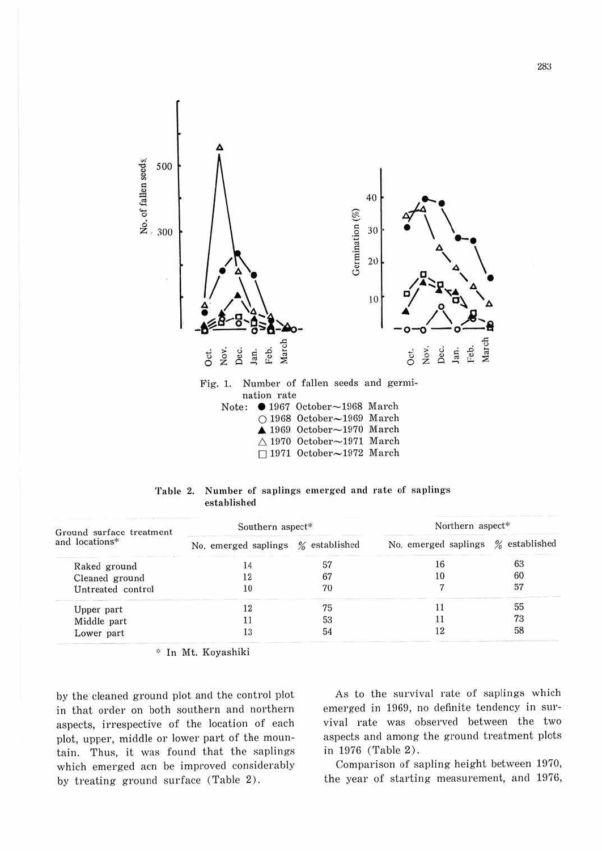

nation rate<br>Note: 01967  $\bullet$  1967 October $\sim$ 1968 March O 1968 October~1969 March ▲ 1969 October~1970 March  $\triangle$  1970 October $\sim$ 1971 March  $\Box$  1971 October $\sim$ 1972 March

| Table 2. Number of saplings emerged and rate of saplings |  |  |  |
|----------------------------------------------------------|--|--|--|
| established                                              |  |  |  |

| Ground surface treatment | Southern aspect*     |               | Northern aspect*     |               |  |  |
|--------------------------|----------------------|---------------|----------------------|---------------|--|--|
| and locations*           | No. emerged saplings | % established | No. emerged saplings | % established |  |  |
| Raked ground             | 14                   | 57            | 16                   | 63            |  |  |
| Cleaned ground           | 12                   | 67            | 10                   | 60            |  |  |
| Untreated control        | 10                   | 70            |                      | 57            |  |  |
| Upper part               | 12                   | 75            |                      | 55            |  |  |
| Middle part              |                      | 53            |                      | 73            |  |  |
| Lower part               | L3                   | 54            |                      | 58            |  |  |

:;: In Mt. Koyashiki

by the cleaned ground plot and the control plot in that order on both southern and northern aspects, irrespective of the location of each plot, upper, middle or lower part of the mountain. Thus, it was found that the saplings which emerged acn be improved considerably by treating ground surface (Table 2).

As to the survival rate of saplings which emerged in 1969, no definite tendency in survival rate was observed between the two aspects and among the ground treatment plots in 1976 (Table 2).

Comparison of sapling height between 1970, the year of starting measurement, and 1976,